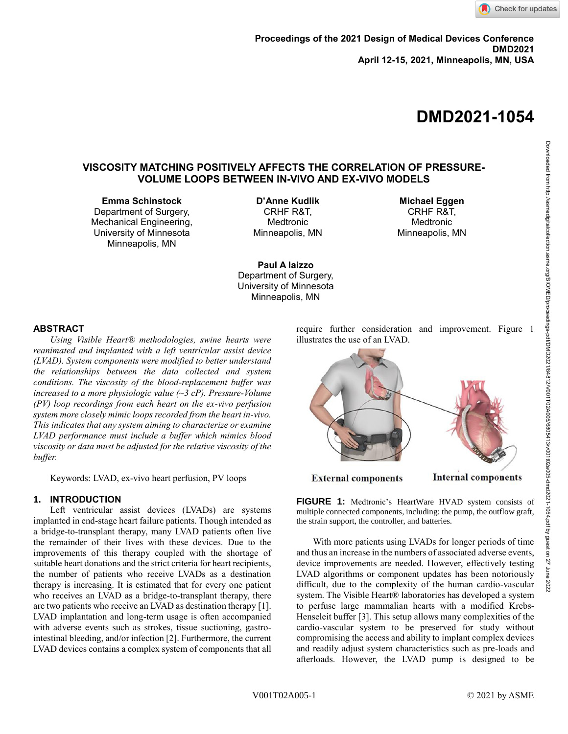# **DMD2021-1054**

# **VISCOSITY MATCHING POSITIVELY AFFECTS THE CORRELATION OF PRESSURE-VOLUME LOOPS BETWEEN IN-VIVO AND EX-VIVO MODELS**

**Emma Schinstock**

Department of Surgery, Mechanical Engineering, University of Minnesota Minneapolis, MN

**D'Anne Kudlik** CRHF R&T, Medtronic Minneapolis, MN

**Michael Eggen** CRHF R&T, Medtronic Minneapolis, MN

**Paul A Iaizzo** Department of Surgery, University of Minnesota Minneapolis, MN

#### **ABSTRACT**

*Using Visible Heart® methodologies, swine hearts were reanimated and implanted with a left ventricular assist device (LVAD). System components were modified to better understand the relationships between the data collected and system conditions. The viscosity of the blood-replacement buffer was increased to a more physiologic value (~3 cP). Pressure-Volume (PV) loop recordings from each heart on the ex-vivo perfusion system more closely mimic loops recorded from the heart in-vivo. This indicates that any system aiming to characterize or examine LVAD performance must include a buffer which mimics blood viscosity or data must be adjusted for the relative viscosity of the buffer.*

Keywords: LVAD, ex-vivo heart perfusion, PV loops

## **1. INTRODUCTION**

Left ventricular assist devices (LVADs) are systems implanted in end-stage heart failure patients. Though intended as a bridge-to-transplant therapy, many LVAD patients often live the remainder of their lives with these devices. Due to the improvements of this therapy coupled with the shortage of suitable heart donations and the strict criteria for heart recipients, the number of patients who receive LVADs as a destination therapy is increasing. It is estimated that for every one patient who receives an LVAD as a bridge-to-transplant therapy, there are two patients who receive an LVAD as destination therapy [1]. LVAD implantation and long-term usage is often accompanied with adverse events such as strokes, tissue suctioning, gastrointestinal bleeding, and/or infection [2]. Furthermore, the current LVAD devices contains a complex system of components that all require further consideration and improvement. Figure 1 illustrates the use of an LVAD.



**FIGURE 1:** Medtronic's HeartWare HVAD system consists of multiple connected components, including: the pump, the outflow graft, the strain support, the controller, and batteries.

With more patients using LVADs for longer periods of time and thus an increase in the numbers of associated adverse events, device improvements are needed. However, effectively testing LVAD algorithms or component updates has been notoriously difficult, due to the complexity of the human cardio-vascular system. The Visible Heart® laboratories has developed a system to perfuse large mammalian hearts with a modified Krebs-Henseleit buffer [3]. This setup allows many complexities of the cardio-vascular system to be preserved for study without compromising the access and ability to implant complex devices and readily adjust system characteristics such as pre-loads and afterloads. However, the LVAD pump is designed to be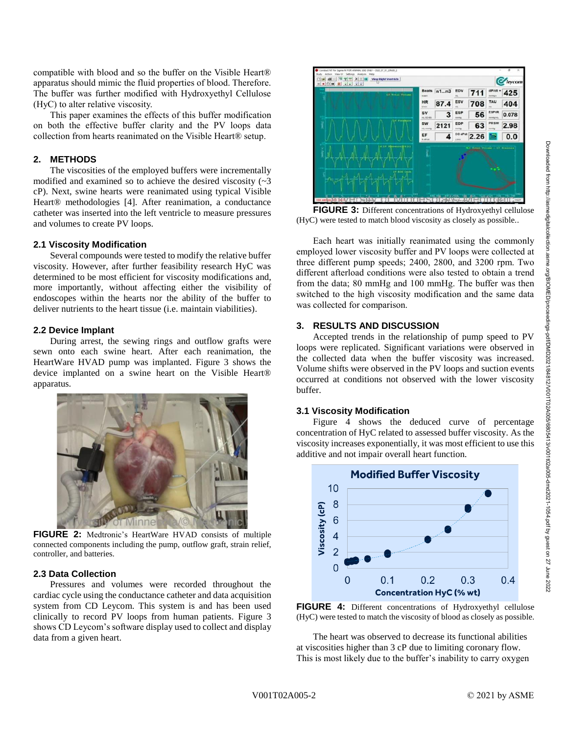Downloaded from http://asmedigitalcollection.asme.org/BIOMED/proceedings-pdf/DMD2021/84812/V001T02A005/6805413/v001t02a005-dmd2021-1054.pdf by guest on 27 June 2022

Downloaded from http://asmedigitalcollection.asme.org/BIOMED/proceedings-pdf/DD/2021/84812/V001T028065413/v001t02a005-dmd2021-1054.pdf by guest on 27 June 2022

compatible with blood and so the buffer on the Visible Heart® apparatus should mimic the fluid properties of blood. Therefore. The buffer was further modified with Hydroxyethyl Cellulose (HyC) to alter relative viscosity.

This paper examines the effects of this buffer modification on both the effective buffer clarity and the PV loops data collection from hearts reanimated on the Visible Heart® setup.

### **2. METHODS**

The viscosities of the employed buffers were incrementally modified and examined so to achieve the desired viscosity  $(2)$ cP). Next, swine hearts were reanimated using typical Visible Heart® methodologies [4]. After reanimation, a conductance catheter was inserted into the left ventricle to measure pressures and volumes to create PV loops.

## **2.1 Viscosity Modification**

Several compounds were tested to modify the relative buffer viscosity. However, after further feasibility research HyC was determined to be most efficient for viscosity modifications and, more importantly, without affecting either the visibility of endoscopes within the hearts nor the ability of the buffer to deliver nutrients to the heart tissue (i.e. maintain viabilities).

## **2.2 Device Implant**

During arrest, the sewing rings and outflow grafts were sewn onto each swine heart. After each reanimation, the HeartWare HVAD pump was implanted. Figure 3 shows the device implanted on a swine heart on the Visible Heart® apparatus.



**FIGURE 2:** Medtronic's HeartWare HVAD consists of multiple connected components including the pump, outflow graft, strain relief, controller, and batteries.

# **2.3 Data Collection**

Pressures and volumes were recorded throughout the cardiac cycle using the conductance catheter and data acquisition system from CD Leycom. This system is and has been used clinically to record PV loops from human patients. Figure 3 shows CD Leycom's software display used to collect and display data from a given heart.



**FIGURE 3:** Different concentrations of Hydroxyethyl cellulose (HyC) were tested to match blood viscosity as closely as possible..

Each heart was initially reanimated using the commonly employed lower viscosity buffer and PV loops were collected at three different pump speeds; 2400, 2800, and 3200 rpm. Two different afterload conditions were also tested to obtain a trend from the data; 80 mmHg and 100 mmHg. The buffer was then switched to the high viscosity modification and the same data was collected for comparison.

# **3. RESULTS AND DISCUSSION**

Accepted trends in the relationship of pump speed to PV loops were replicated. Significant variations were observed in the collected data when the buffer viscosity was increased. Volume shifts were observed in the PV loops and suction events occurred at conditions not observed with the lower viscosity buffer.

# **3.1 Viscosity Modification**

Figure 4 shows the deduced curve of percentage concentration of HyC related to assessed buffer viscosity. As the viscosity increases exponentially, it was most efficient to use this additive and not impair overall heart function.



**FIGURE 4:** Different concentrations of Hydroxyethyl cellulose (HyC) were tested to match the viscosity of blood as closely as possible.

The heart was observed to decrease its functional abilities at viscosities higher than 3 cP due to limiting coronary flow. This is most likely due to the buffer's inability to carry oxygen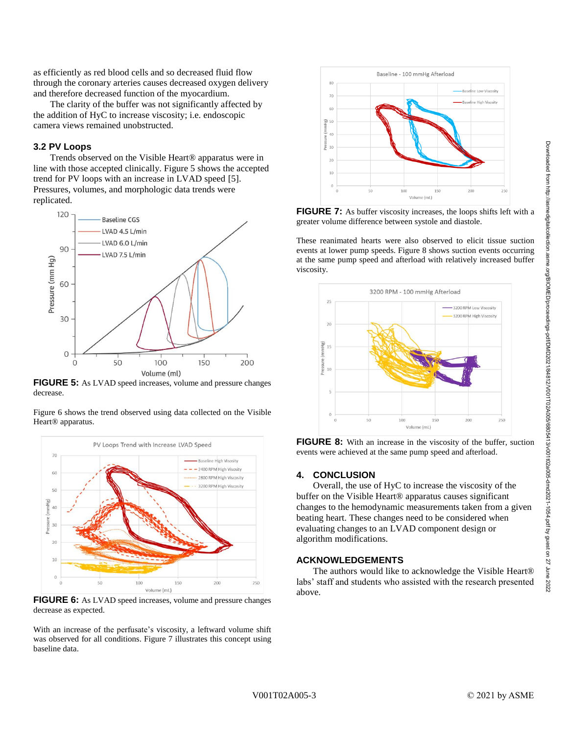Downloaded from http://asmedigitalcollection.asme.org/BIOMED/proceedings-pdf/DMD2021/84812/V001T02A005/6805413/v001t02a005-dmd2021-1054.pdf by guest on 27 June 2022

Downloaded from http://asmedigitalcollection.asme.org/BIOMED/proceedings-pdf/D2021/84812/V00110240056405413/v001024005-dmd2021-1054.pdf by guest on 27 June 2022

as efficiently as red blood cells and so decreased fluid flow through the coronary arteries causes decreased oxygen delivery and therefore decreased function of the myocardium.

The clarity of the buffer was not significantly affected by the addition of HyC to increase viscosity; i.e. endoscopic camera views remained unobstructed.

#### **3.2 PV Loops**

Trends observed on the Visible Heart® apparatus were in line with those accepted clinically. Figure 5 shows the accepted trend for PV loops with an increase in LVAD speed [5]. Pressures, volumes, and morphologic data trends were replicated.



**FIGURE 5:** As LVAD speed increases, volume and pressure changes decrease.

Figure 6 shows the trend observed using data collected on the Visible Heart® apparatus.



**FIGURE 6:** As LVAD speed increases, volume and pressure changes decrease as expected.

With an increase of the perfusate's viscosity, a leftward volume shift was observed for all conditions. Figure 7 illustrates this concept using baseline data.



**FIGURE 7:** As buffer viscosity increases, the loops shifts left with a greater volume difference between systole and diastole.

These reanimated hearts were also observed to elicit tissue suction events at lower pump speeds. Figure 8 shows suction events occurring at the same pump speed and afterload with relatively increased buffer viscosity.



**FIGURE 8:** With an increase in the viscosity of the buffer, suction events were achieved at the same pump speed and afterload.

#### **4. CONCLUSION**

Overall, the use of HyC to increase the viscosity of the buffer on the Visible Heart® apparatus causes significant changes to the hemodynamic measurements taken from a given beating heart. These changes need to be considered when evaluating changes to an LVAD component design or algorithm modifications.

#### **ACKNOWLEDGEMENTS**

The authors would like to acknowledge the Visible Heart® labs' staff and students who assisted with the research presented above.